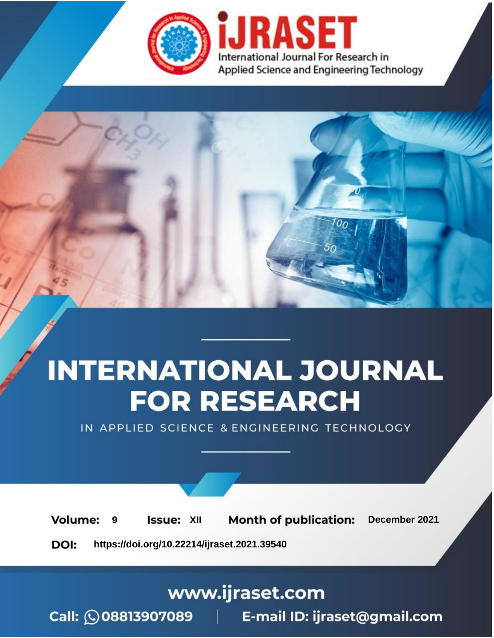

# **INTERNATIONAL JOURNAL FOR RESEARCH**

IN APPLIED SCIENCE & ENGINEERING TECHNOLOGY

**Month of publication: Volume: Issue: XII** December 2021 9 DOI: https://doi.org/10.22214/ijraset.2021.39540

www.ijraset.com

Call: 008813907089 | E-mail ID: ijraset@gmail.com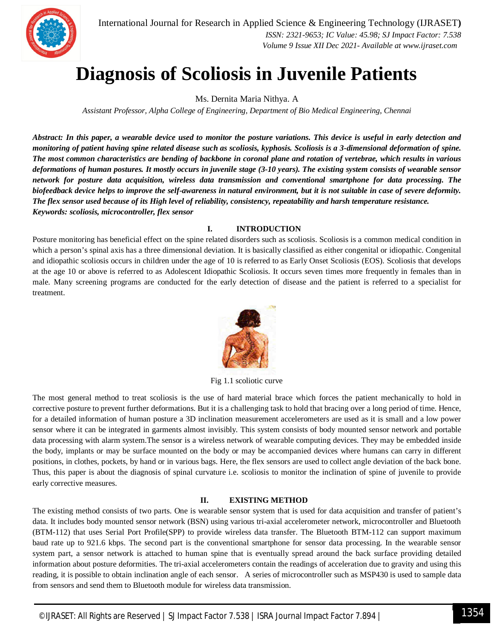

International Journal for Research in Applied Science & Engineering Technology (IJRASET**)**  *ISSN: 2321-9653; IC Value: 45.98; SJ Impact Factor: 7.538 Volume 9 Issue XII Dec 2021- Available at www.ijraset.com*

### **Diagnosis of Scoliosis in Juvenile Patients**

Ms. Dernita Maria Nithya. A

*Assistant Professor, Alpha College of Engineering, Department of Bio Medical Engineering, Chennai*

*Abstract: In this paper, a wearable device used to monitor the posture variations. This device is useful in early detection and monitoring of patient having spine related disease such as scoliosis, kyphosis. Scoliosis is a 3-dimensional deformation of spine. The most common characteristics are bending of backbone in coronal plane and rotation of vertebrae, which results in various deformations of human postures. It mostly occurs in juvenile stage (3-10 years). The existing system consists of wearable sensor network for posture data acquisition, wireless data transmission and conventional smartphone for data processing. The biofeedback device helps to improve the self-awareness in natural environment, but it is not suitable in case of severe deformity. The flex sensor used because of its High level of reliability, consistency, repeatability and harsh temperature resistance. Keywords: scoliosis, microcontroller, flex sensor*

#### **I. INTRODUCTION**

Posture monitoring has beneficial effect on the spine related disorders such as scoliosis. Scoliosis is a common medical condition in which a person's spinal axis has a three dimensional deviation. It is basically classified as either congenital or idiopathic. Congenital and idiopathic scoliosis occurs in children under the age of 10 is referred to as Early Onset Scoliosis (EOS). Scoliosis that develops at the age 10 or above is referred to as Adolescent Idiopathic Scoliosis. It occurs seven times more frequently in females than in male. Many screening programs are conducted for the early detection of disease and the patient is referred to a specialist for treatment.



Fig 1.1 scoliotic curve

The most general method to treat scoliosis is the use of hard material brace which forces the patient mechanically to hold in corrective posture to prevent further deformations. But it is a challenging task to hold that bracing over a long period of time. Hence, for a detailed information of human posture a 3D inclination measurement accelerometers are used as it is small and a low power sensor where it can be integrated in garments almost invisibly. This system consists of body mounted sensor network and portable data processing with alarm system.The sensor is a wireless network of wearable computing devices. They may be embedded inside the body, implants or may be surface mounted on the body or may be accompanied devices where humans can carry in different positions, in clothes, pockets, by hand or in various bags. Here, the flex sensors are used to collect angle deviation of the back bone. Thus, this paper is about the diagnosis of spinal curvature i.e. scoliosis to monitor the inclination of spine of juvenile to provide early corrective measures.

#### **II. EXISTING METHOD**

The existing method consists of two parts. One is wearable sensor system that is used for data acquisition and transfer of patient's data. It includes body mounted sensor network (BSN) using various tri-axial accelerometer network, microcontroller and Bluetooth (BTM-112) that uses Serial Port Profile(SPP) to provide wireless data transfer. The Bluetooth BTM-112 can support maximum baud rate up to 921.6 kbps. The second part is the conventional smartphone for sensor data processing. In the wearable sensor system part, a sensor network is attached to human spine that is eventually spread around the back surface providing detailed information about posture deformities. The tri-axial accelerometers contain the readings of acceleration due to gravity and using this reading, it is possible to obtain inclination angle of each sensor. A series of microcontroller such as MSP430 is used to sample data from sensors and send them to Bluetooth module for wireless data transmission.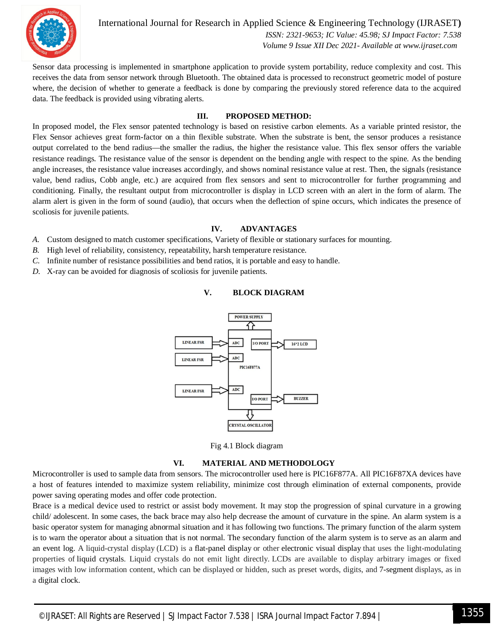

International Journal for Research in Applied Science & Engineering Technology (IJRASET**)**  *ISSN: 2321-9653; IC Value: 45.98; SJ Impact Factor: 7.538 Volume 9 Issue XII Dec 2021- Available at www.ijraset.com*

Sensor data processing is implemented in smartphone application to provide system portability, reduce complexity and cost. This receives the data from sensor network through Bluetooth. The obtained data is processed to reconstruct geometric model of posture where, the decision of whether to generate a feedback is done by comparing the previously stored reference data to the acquired data. The feedback is provided using vibrating alerts.

#### **III. PROPOSED METHOD:**

In proposed model, the Flex sensor patented technology is based on resistive carbon elements. As a variable printed resistor, the Flex Sensor achieves great form-factor on a thin flexible substrate. When the substrate is bent, the sensor produces a resistance output correlated to the bend radius—the smaller the radius, the higher the resistance value. This flex sensor offers the variable resistance readings. The resistance value of the sensor is dependent on the bending angle with respect to the spine. As the bending angle increases, the resistance value increases accordingly, and shows nominal resistance value at rest. Then, the signals (resistance value, bend radius, Cobb angle, etc.) are acquired from flex sensors and sent to microcontroller for further programming and conditioning. Finally, the resultant output from microcontroller is display in LCD screen with an alert in the form of alarm. The alarm alert is given in the form of sound (audio), that occurs when the deflection of spine occurs, which indicates the presence of scoliosis for juvenile patients.

#### **IV. ADVANTAGES**

- *A.* Custom designed to match customer specifications, Variety of flexible or stationary surfaces for mounting.
- *B.* High level of reliability, consistency, repeatability, harsh temperature resistance.
- *C.* Infinite number of resistance possibilities and bend ratios, it is portable and easy to handle.
- *D.* X-ray can be avoided for diagnosis of scoliosis for juvenile patients.

#### **V. BLOCK DIAGRAM**



Fig 4.1 Block diagram

#### **VI. MATERIAL AND METHODOLOGY**

Microcontroller is used to sample data from sensors. The microcontroller used here is PIC16F877A. All PIC16F87XA devices have a host of features intended to maximize system reliability, minimize cost through elimination of external components, provide power saving operating modes and offer code protection.

Brace is a medical device used to restrict or assist body movement. It may stop the progression of spinal curvature in a growing child/ adolescent. In some cases, the back brace may also help decrease the amount of curvature in the spine. An alarm system is a basic operator system for managing abnormal situation and it has following two functions. The primary function of the alarm system is to warn the operator about a situation that is not normal. The secondary function of the alarm system is to serve as an alarm and an event log. A liquid-crystal display (LCD) is a flat-panel display or other electronic visual display that uses the light-modulating properties of liquid crystals. Liquid crystals do not emit light directly. LCDs are available to display arbitrary images or fixed images with low information content, which can be displayed or hidden, such as preset words, digits, and 7-segment displays, as in a digital clock.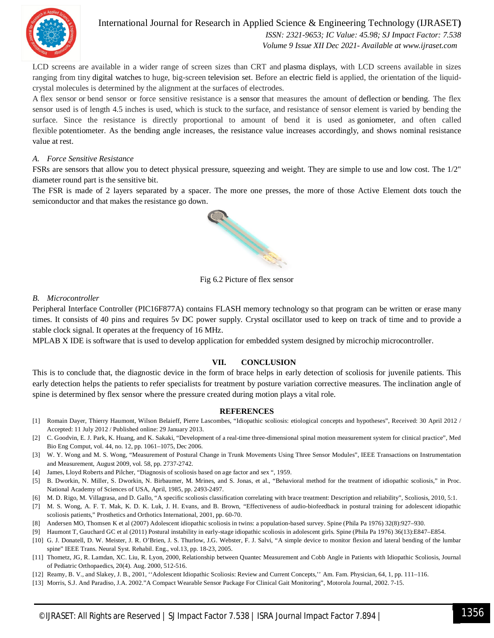

International Journal for Research in Applied Science & Engineering Technology (IJRASET**)**  *ISSN: 2321-9653; IC Value: 45.98; SJ Impact Factor: 7.538 Volume 9 Issue XII Dec 2021- Available at www.ijraset.com*

LCD screens are available in a wider range of screen sizes than CRT and plasma displays, with LCD screens available in sizes ranging from tiny digital watches to huge, big-screen television set. Before an electric field is applied, the orientation of the liquidcrystal molecules is determined by the alignment at the surfaces of electrodes.

A flex sensor or bend sensor or force sensitive resistance is a sensor that measures the amount of deflection or bending. The flex sensor used is of length 4.5 inches is used, which is stuck to the surface, and resistance of sensor element is varied by bending the surface. Since the resistance is directly proportional to amount of bend it is used as goniometer, and often called flexible potentiometer. As the bending angle increases, the resistance value increases accordingly, and shows nominal resistance value at rest.

#### *A. Force Sensitive Resistance*

FSRs are sensors that allow you to detect physical pressure, squeezing and weight. They are simple to use and low cost. The 1/2" diameter round part is the sensitive bit.

The FSR is made of 2 layers separated by a spacer. The more one presses, the more of those Active Element dots touch the semiconductor and that makes the resistance go down.



Fig 6.2 Picture of flex sensor

#### *B. Microcontroller*

Peripheral Interface Controller (PIC16F877A) contains FLASH memory technology so that program can be written or erase many times. It consists of 40 pins and requires 5v DC power supply. Crystal oscillator used to keep on track of time and to provide a stable clock signal. It operates at the frequency of 16 MHz.

MPLAB X IDE is software that is used to develop application for embedded system designed by microchip microcontroller.

#### **VII. CONCLUSION**

This is to conclude that, the diagnostic device in the form of brace helps in early detection of scoliosis for juvenile patients. This early detection helps the patients to refer specialists for treatment by posture variation corrective measures. The inclination angle of spine is determined by flex sensor where the pressure created during motion plays a vital role.

#### **REFERENCES**

- [1] Romain Dayer, Thierry Haumont, Wilson Belaieff, Pierre Lascombes, "Idiopathic scoliosis: etiological concepts and hypotheses", Received: 30 April 2012 / Accepted: 11 July 2012 / Published online: 29 January 2013.
- [2] C. Goodvin, E. J. Park, K. Huang, and K. Sakaki, "Development of a real-time three-dimensional spinal motion measurement system for clinical practice", Med Bio Eng Comput, vol. 44, no. 12, pp. 1061–1075, Dec 2006.
- [3] W. Y. Wong and M. S. Wong, "Measurement of Postural Change in Trunk Movements Using Three Sensor Modules", IEEE Transactions on Instrumentation and Measurement, August 2009, vol. 58, pp. 2737-2742.
- [4] James, Lloyd Roberts and Pilcher, "Diagnosis of scoliosis based on age factor and sex ", 1959.
- [5] B. Dworkin, N. Miller, S. Dworkin, N. Birbaumer, M. Mrines, and S. Jonas, et al., "Behavioral method for the treatment of idiopathic scoliosis," in Proc. National Academy of Sciences of USA, April, 1985, pp. 2493-2497.
- [6] M. D. Rigo, M. Villagrasa, and D. Gallo, "A specific scoliosis classification correlating with brace treatment: Description and reliability", Scoliosis, 2010, 5:1.
- [7] M. S. Wong, A. F. T. Mak, K. D. K. Luk, J. H. Evans, and B. Brown, "Effectiveness of audio-biofeedback in postural training for adolescent idiopathic scoliosis patients," Prosthetics and Orthotics International, 2001, pp. 60-70.
- [8] Andersen MO, Thomsen K et al (2007) Adolescent idiopathic scoliosis in twins: a population-based survey. Spine (Phila Pa 1976) 32(8):927–930.
- [9] Haumont T, Gauchard GC et al (2011) Postural instability in early-stage idiopathic scoliosis in adolescent girls. Spine (Phila Pa 1976) 36(13):E847–E854.
- [10] G. J. Donatell, D. W. Meister, J. R. O'Brien, J. S. Thurlow, J.G. Webster, F. J. Salvi, "A simple device to monitor flexion and lateral bending of the lumbar spine" IEEE Trans. Neural Syst. Rehabil. Eng., vol.13, pp. 18-23, 2005.
- [11] Thometz, JG, R. Lamdan, XC. Liu, R. Lyon, 2000, Relationship between Quantec Measurement and Cobb Angle in Patients with Idiopathic Scoliosis, Journal of Pediatric Orthopaedics, 20(4). Aug. 2000, 512-516.
- [12] Reamy, B. V., and Slakey, J. B., 2001, ''Adolescent Idiopathic Scoliosis: Review and Current Concepts,'' Am. Fam. Physician, 64, 1, pp. 111–116.
- [13] Morris, S.J. And Paradiso, J.A. 2002."A Compact Wearable Sensor Package For Clinical Gait Monitoring", Motorola Journal, 2002. 7-15.